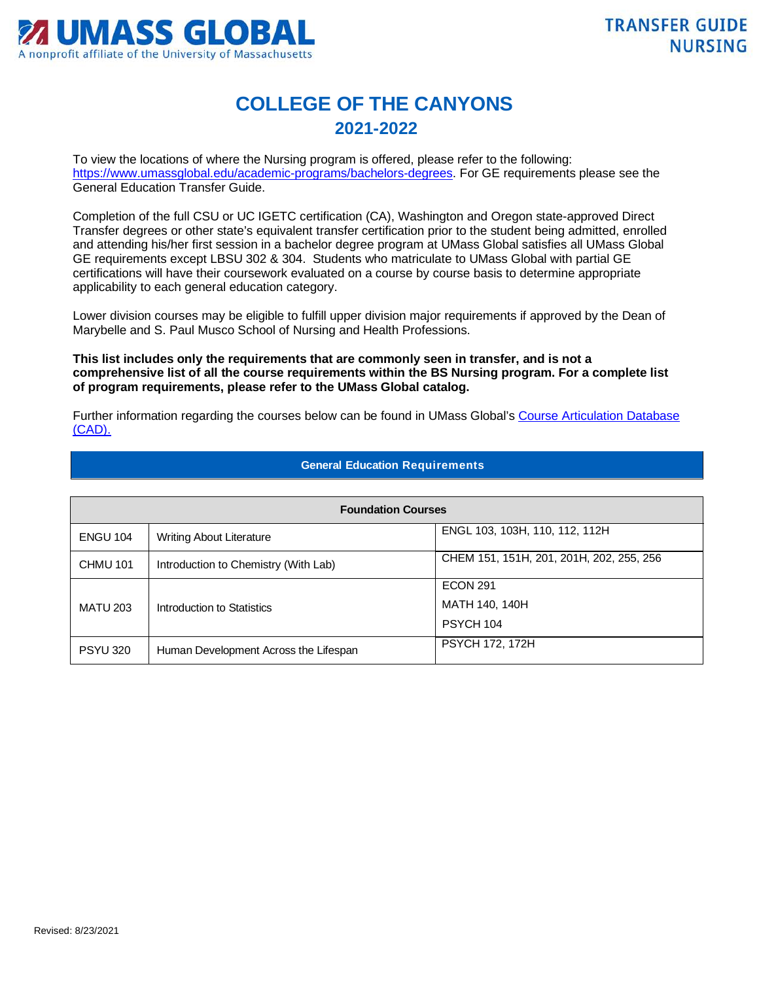

## **COLLEGE OF THE CANYONS 2021-2022**

To view the locations of where the Nursing program is offered, please refer to the following: [https://www.umassglobal.edu/academic-programs/bachelors-degrees.](https://www.umassglobal.edu/academic-programs/bachelors-degrees) For GE requirements please see the General Education Transfer Guide.

Completion of the full CSU or UC IGETC certification (CA), Washington and Oregon state-approved Direct Transfer degrees or other state's equivalent transfer certification prior to the student being admitted, enrolled and attending his/her first session in a bachelor degree program at UMass Global satisfies all UMass Global GE requirements except LBSU 302 & 304. Students who matriculate to UMass Global with partial GE certifications will have their coursework evaluated on a course by course basis to determine appropriate applicability to each general education category.

Lower division courses may be eligible to fulfill upper division major requirements if approved by the Dean of Marybelle and S. Paul Musco School of Nursing and Health Professions.

**This list includes only the requirements that are commonly seen in transfer, and is not a comprehensive list of all the course requirements within the BS Nursing program. For a complete list of program requirements, please refer to the UMass Global catalog.**

Further information regarding the courses below can be found in UMass Global's Course Articulation Database [\(CAD\).](http://services.umassglobal.edu/studentservices/TransferCredit/) 

| <b>Foundation Courses</b> |                                       |                                          |  |
|---------------------------|---------------------------------------|------------------------------------------|--|
| <b>ENGU 104</b>           | <b>Writing About Literature</b>       | ENGL 103, 103H, 110, 112, 112H           |  |
| <b>CHMU 101</b>           | Introduction to Chemistry (With Lab)  | CHEM 151, 151H, 201, 201H, 202, 255, 256 |  |
|                           |                                       | <b>ECON 291</b>                          |  |
| <b>MATU 203</b>           | Introduction to Statistics            | MATH 140, 140H                           |  |
|                           |                                       | PSYCH 104                                |  |
| <b>PSYU 320</b>           | Human Development Across the Lifespan | <b>PSYCH 172, 172H</b>                   |  |

## **General Education Requirements**